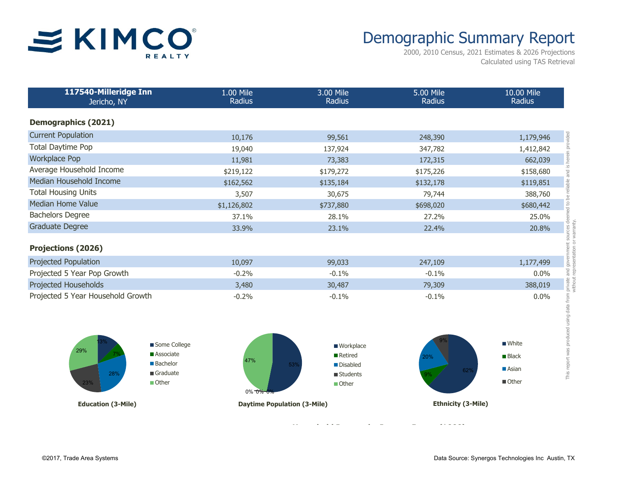

## Demographic Summary Report

2000, 2010 Census, 2021 Estimates & 2026 Projections Calculated using TAS Retrieval

| 117540-Milleridge Inn<br>Jericho, NY | 1.00 Mile<br>Radius | 3.00 Mile<br>Radius | 5.00 Mile<br>Radius | 10.00 Mile<br>Radius |
|--------------------------------------|---------------------|---------------------|---------------------|----------------------|
| <b>Demographics (2021)</b>           |                     |                     |                     |                      |
| <b>Current Population</b>            | 10,176              | 99,561              | 248,390             | 1,179,946            |
| Total Daytime Pop                    | 19,040              | 137,924             | 347,782             | 1,412,842            |
| <b>Workplace Pop</b>                 | 11,981              | 73,383              | 172,315             | 662,039              |
| Average Household Income             | \$219,122           | \$179,272           | \$175,226           | \$158,680            |
| Median Household Income              | \$162,562           | \$135,184           | \$132,178           | \$119,851            |
| <b>Total Housing Units</b>           | 3,507               | 30,675              | 79,744              | 388,760              |
| Median Home Value                    | \$1,126,802         | \$737,880           | \$698,020           | \$680,442            |
| <b>Bachelors Degree</b>              | 37.1%               | 28.1%               | 27.2%               | 25.0%                |
| <b>Graduate Degree</b>               | 33.9%               | 23.1%               | 22.4%               | 20.8%                |
| <b>Projections (2026)</b>            |                     |                     |                     |                      |
| Projected Population                 | 10,097              | 99,033              | 247,109             | 1,177,499            |
| Projected 5 Year Pop Growth          | $-0.2%$             | $-0.1%$             | $-0.1%$             | $0.0\%$              |
| Projected Households                 | 3,480               | 30,487              | 79,309              | 388,019              |
| Projected 5 Year Household Growth    | $-0.2%$             | $-0.1%$             | $-0.1%$             | $0.0\%$              |



**Population by Age Range Household Income by Income Range (\$000)**